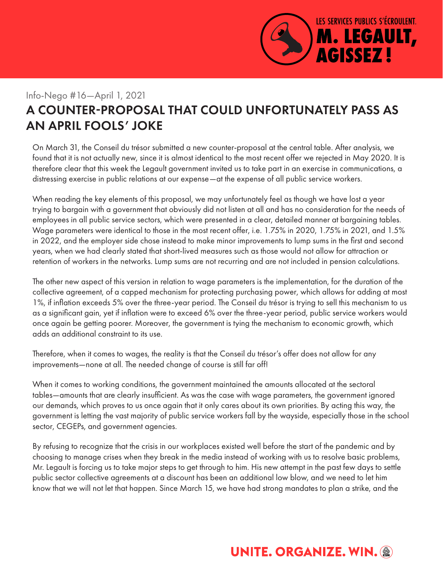

### Info-Nego #16—April 1, 2021

# A COUNTER-PROPOSAL THAT COULD UNFORTUNATELY PASS AS AN APRIL FOOLS' JOKE

On March 31, the Conseil du trésor submitted a new counter-proposal at the central table. After analysis, we found that it is not actually new, since it is almost identical to the most recent offer we rejected in May 2020. It is therefore clear that this week the Legault government invited us to take part in an exercise in communications, a distressing exercise in public relations at our expense—at the expense of all public service workers.

When reading the key elements of this proposal, we may unfortunately feel as though we have lost a year trying to bargain with a government that obviously did not listen at all and has no consideration for the needs of employees in all public service sectors, which were presented in a clear, detailed manner at bargaining tables. Wage parameters were identical to those in the most recent offer, i.e. 1.75% in 2020, 1.75% in 2021, and 1.5% in 2022, and the employer side chose instead to make minor improvements to lump sums in the first and second years, when we had clearly stated that short-lived measures such as those would not allow for attraction or retention of workers in the networks. Lump sums are not recurring and are not included in pension calculations.

The other new aspect of this version in relation to wage parameters is the implementation, for the duration of the collective agreement, of a capped mechanism for protecting purchasing power, which allows for adding at most 1%, if inflation exceeds 5% over the three-year period. The Conseil du trésor is trying to sell this mechanism to us as a significant gain, yet if inflation were to exceed 6% over the three-year period, public service workers would once again be getting poorer. Moreover, the government is tying the mechanism to economic growth, which adds an additional constraint to its use.

Therefore, when it comes to wages, the reality is that the Conseil du trésor's offer does not allow for any improvements—none at all. The needed change of course is still far off!

When it comes to working conditions, the government maintained the amounts allocated at the sectoral tables—amounts that are clearly insufficient. As was the case with wage parameters, the government ignored our demands, which proves to us once again that it only cares about its own priorities. By acting this way, the government is letting the vast majority of public service workers fall by the wayside, especially those in the school sector, CEGEPs, and government agencies.

By refusing to recognize that the crisis in our workplaces existed well before the start of the pandemic and by choosing to manage crises when they break in the media instead of working with us to resolve basic problems, Mr. Legault is forcing us to take major steps to get through to him. His new attempt in the past few days to settle public sector collective agreements at a discount has been an additional low blow, and we need to let him know that we will not let that happen. Since March 15, we have had strong mandates to plan a strike, and the

## **UNITE, ORGANIZE, WIN. @**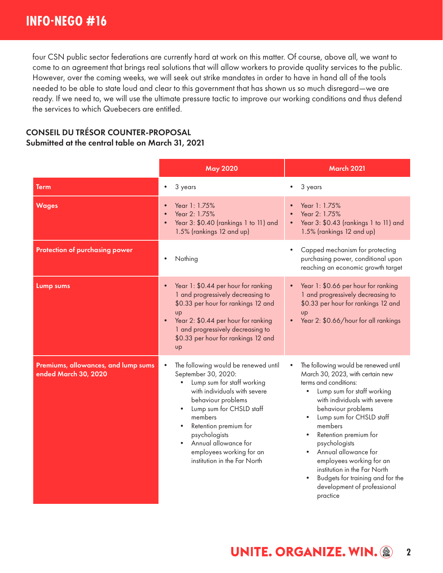four CSN public sector federations are currently hard at work on this matter. Of course, above all, we want to come to an agreement that brings real solutions that will allow workers to provide quality services to the public. However, over the coming weeks, we will seek out strike mandates in order to have in hand all of the tools needed to be able to state loud and clear to this government that has shown us so much disregard—we are ready. If we need to, we will use the ultimate pressure tactic to improve our working conditions and thus defend the services to which Quebecers are entitled.

#### CONSEIL DU TRÉSOR COUNTER-PROPOSAL Submitted at the central table on March 31, 2021

|                                                             | <b>May 2020</b>                                                                                                                                                                                                                                                                                                                                             | <b>March 2021</b>                                                                                                                                                                                                                                                                                                                                                                                                                                      |
|-------------------------------------------------------------|-------------------------------------------------------------------------------------------------------------------------------------------------------------------------------------------------------------------------------------------------------------------------------------------------------------------------------------------------------------|--------------------------------------------------------------------------------------------------------------------------------------------------------------------------------------------------------------------------------------------------------------------------------------------------------------------------------------------------------------------------------------------------------------------------------------------------------|
| Term                                                        | 3 years<br>$\bullet$                                                                                                                                                                                                                                                                                                                                        | 3 years                                                                                                                                                                                                                                                                                                                                                                                                                                                |
| <b>Wages</b>                                                | Year 1: 1.75%<br>$\bullet$<br>Year 2: 1.75%<br>Year 3: \$0.40 (rankings 1 to 11) and<br>1.5% (rankings 12 and up)                                                                                                                                                                                                                                           | Year 1: 1.75%<br>Year 2: 1.75%<br>Year 3: \$0.43 (rankings 1 to 11) and<br>1.5% (rankings 12 and up)                                                                                                                                                                                                                                                                                                                                                   |
| Protection of purchasing power                              | Nothing                                                                                                                                                                                                                                                                                                                                                     | Capped mechanism for protecting<br>$\bullet$<br>purchasing power, conditional upon<br>reaching an economic growth target                                                                                                                                                                                                                                                                                                                               |
| Lump sums                                                   | Year 1: \$0.44 per hour for ranking<br>$\bullet$<br>1 and progressively decreasing to<br>\$0.33 per hour for rankings 12 and<br><b>up</b><br>Year 2: \$0.44 per hour for ranking<br>1 and progressively decreasing to<br>\$0.33 per hour for rankings 12 and<br>up                                                                                          | Year 1: \$0.66 per hour for ranking<br>$\bullet$<br>1 and progressively decreasing to<br>\$0.33 per hour for rankings 12 and<br><b>UD</b><br>Year 2: \$0.66/hour for all rankings                                                                                                                                                                                                                                                                      |
| Premiums, allowances, and lump sums<br>ended March 30, 2020 | The following would be renewed until<br>$\bullet$<br>September 30, 2020:<br>Lump sum for staff working<br>$\bullet$<br>with individuals with severe<br>behaviour problems<br>Lump sum for CHSLD staff<br>$\bullet$<br>members<br>Retention premium for<br>psychologists<br>Annual allowance for<br>employees working for an<br>institution in the Far North | The following would be renewed until<br>$\bullet$<br>March 30, 2023, with certain new<br>terms and conditions:<br>Lump sum for staff working<br>with individuals with severe<br>behaviour problems<br>Lump sum for CHSLD staff<br>members<br>Retention premium for<br>psychologists<br>Annual allowance for<br>employees working for an<br>institution in the Far North<br>Budgets for training and for the<br>development of professional<br>practice |

#### **UNITE. ORGANIZE. WIN. @ 2**